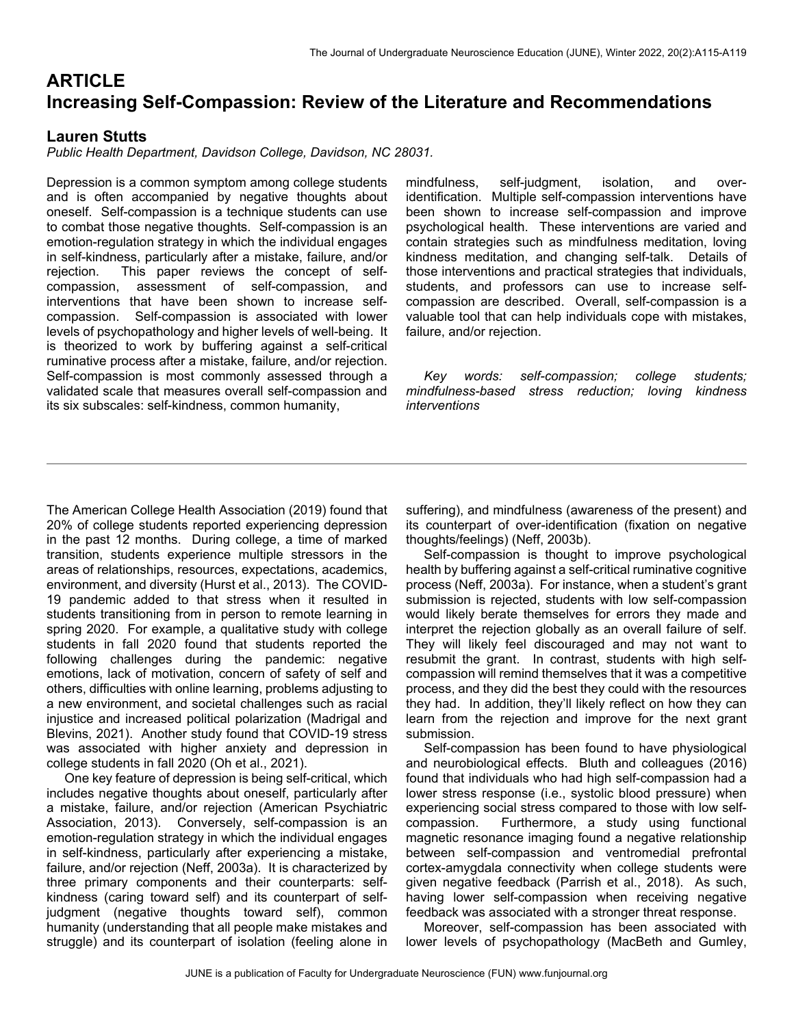# **ARTICLE Increasing Self-Compassion: Review of the Literature and Recommendations**

## **Lauren Stutts**

*Public Health Department, Davidson College, Davidson, NC 28031.* 

Depression is a common symptom among college students and is often accompanied by negative thoughts about oneself. Self-compassion is a technique students can use to combat those negative thoughts. Self-compassion is an emotion-regulation strategy in which the individual engages in self-kindness, particularly after a mistake, failure, and/or rejection. This paper reviews the concept of selfcompassion, assessment of self-compassion, and interventions that have been shown to increase selfcompassion. Self-compassion is associated with lower levels of psychopathology and higher levels of well-being. It is theorized to work by buffering against a self-critical ruminative process after a mistake, failure, and/or rejection. Self-compassion is most commonly assessed through a validated scale that measures overall self-compassion and its six subscales: self-kindness, common humanity,

mindfulness, self-judgment, isolation, and overidentification. Multiple self-compassion interventions have been shown to increase self-compassion and improve psychological health. These interventions are varied and contain strategies such as mindfulness meditation, loving kindness meditation, and changing self-talk. Details of those interventions and practical strategies that individuals, students, and professors can use to increase selfcompassion are described. Overall, self-compassion is a valuable tool that can help individuals cope with mistakes, failure, and/or rejection.

 *Key words: self-compassion; college students; mindfulness-based stress reduction; loving kindness interventions* 

The American College Health Association (2019) found that 20% of college students reported experiencing depression in the past 12 months. During college, a time of marked transition, students experience multiple stressors in the areas of relationships, resources, expectations, academics, environment, and diversity (Hurst et al., 2013). The COVID-19 pandemic added to that stress when it resulted in students transitioning from in person to remote learning in spring 2020. For example, a qualitative study with college students in fall 2020 found that students reported the following challenges during the pandemic: negative emotions, lack of motivation, concern of safety of self and others, difficulties with online learning, problems adjusting to a new environment, and societal challenges such as racial injustice and increased political polarization (Madrigal and Blevins, 2021). Another study found that COVID-19 stress was associated with higher anxiety and depression in college students in fall 2020 (Oh et al., 2021).

 One key feature of depression is being self-critical, which includes negative thoughts about oneself, particularly after a mistake, failure, and/or rejection (American Psychiatric Association, 2013). Conversely, self-compassion is an emotion-regulation strategy in which the individual engages in self-kindness, particularly after experiencing a mistake, failure, and/or rejection (Neff, 2003a). It is characterized by three primary components and their counterparts: selfkindness (caring toward self) and its counterpart of selfjudgment (negative thoughts toward self), common humanity (understanding that all people make mistakes and struggle) and its counterpart of isolation (feeling alone in suffering), and mindfulness (awareness of the present) and its counterpart of over-identification (fixation on negative thoughts/feelings) (Neff, 2003b).

 Self-compassion is thought to improve psychological health by buffering against a self-critical ruminative cognitive process (Neff, 2003a). For instance, when a student's grant submission is rejected, students with low self-compassion would likely berate themselves for errors they made and interpret the rejection globally as an overall failure of self. They will likely feel discouraged and may not want to resubmit the grant. In contrast, students with high selfcompassion will remind themselves that it was a competitive process, and they did the best they could with the resources they had. In addition, they'll likely reflect on how they can learn from the rejection and improve for the next grant submission.

 Self-compassion has been found to have physiological and neurobiological effects. Bluth and colleagues (2016) found that individuals who had high self-compassion had a lower stress response (i.e., systolic blood pressure) when experiencing social stress compared to those with low selfcompassion. Furthermore, a study using functional magnetic resonance imaging found a negative relationship between self-compassion and ventromedial prefrontal cortex-amygdala connectivity when college students were given negative feedback (Parrish et al., 2018). As such, having lower self-compassion when receiving negative feedback was associated with a stronger threat response.

 Moreover, self-compassion has been associated with lower levels of psychopathology (MacBeth and Gumley,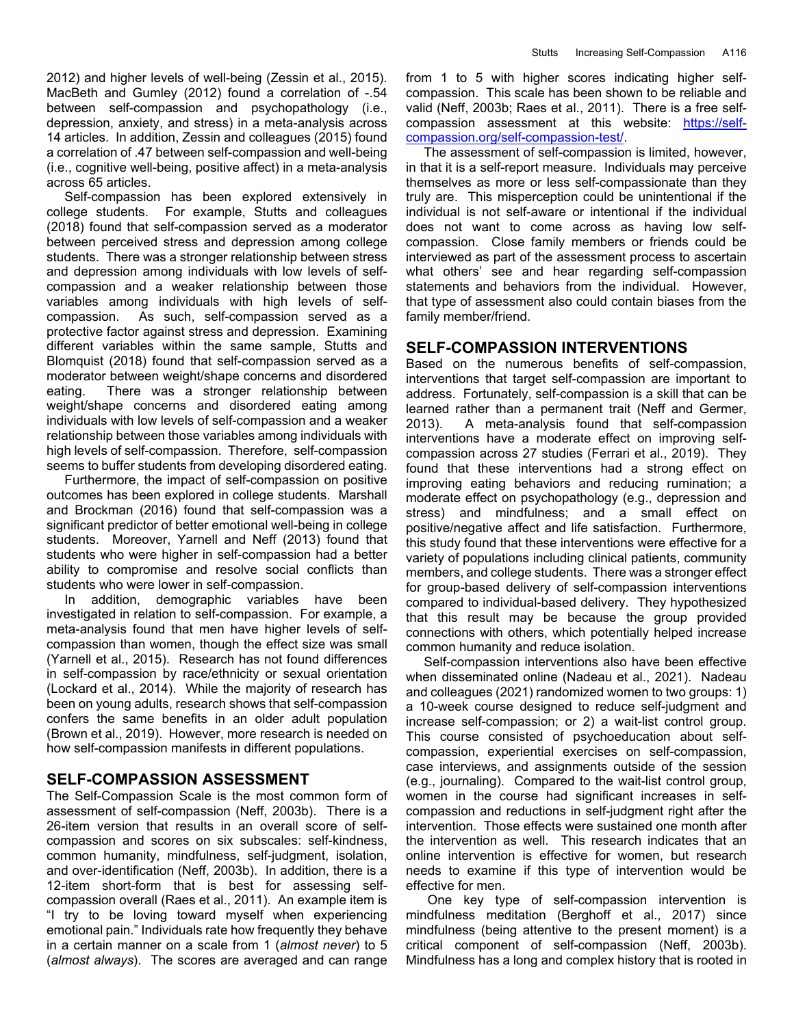2012) and higher levels of well-being (Zessin et al., 2015). MacBeth and Gumley (2012) found a correlation of -.54 between self-compassion and psychopathology (i.e., depression, anxiety, and stress) in a meta-analysis across 14 articles. In addition, Zessin and colleagues (2015) found a correlation of .47 between self-compassion and well-being (i.e., cognitive well-being, positive affect) in a meta-analysis across 65 articles.

 Self-compassion has been explored extensively in college students. For example, Stutts and colleagues (2018) found that self-compassion served as a moderator between perceived stress and depression among college students. There was a stronger relationship between stress and depression among individuals with low levels of selfcompassion and a weaker relationship between those variables among individuals with high levels of selfcompassion. As such, self-compassion served as a protective factor against stress and depression. Examining different variables within the same sample, Stutts and Blomquist (2018) found that self-compassion served as a moderator between weight/shape concerns and disordered eating. There was a stronger relationship between There was a stronger relationship between weight/shape concerns and disordered eating among individuals with low levels of self-compassion and a weaker relationship between those variables among individuals with high levels of self-compassion. Therefore, self-compassion seems to buffer students from developing disordered eating.

 Furthermore, the impact of self-compassion on positive outcomes has been explored in college students. Marshall and Brockman (2016) found that self-compassion was a significant predictor of better emotional well-being in college students. Moreover, Yarnell and Neff (2013) found that students who were higher in self-compassion had a better ability to compromise and resolve social conflicts than students who were lower in self-compassion.

 In addition, demographic variables have been investigated in relation to self-compassion. For example, a meta-analysis found that men have higher levels of selfcompassion than women, though the effect size was small (Yarnell et al., 2015). Research has not found differences in self-compassion by race/ethnicity or sexual orientation (Lockard et al., 2014). While the majority of research has been on young adults, research shows that self-compassion confers the same benefits in an older adult population (Brown et al., 2019). However, more research is needed on how self-compassion manifests in different populations.

## **SELF-COMPASSION ASSESSMENT**

The Self-Compassion Scale is the most common form of assessment of self-compassion (Neff, 2003b). There is a 26-item version that results in an overall score of selfcompassion and scores on six subscales: self-kindness, common humanity, mindfulness, self-judgment, isolation, and over-identification (Neff, 2003b). In addition, there is a 12-item short-form that is best for assessing selfcompassion overall (Raes et al., 2011). An example item is "I try to be loving toward myself when experiencing emotional pain." Individuals rate how frequently they behave in a certain manner on a scale from 1 (*almost never*) to 5 (*almost always*). The scores are averaged and can range from 1 to 5 with higher scores indicating higher selfcompassion. This scale has been shown to be reliable and valid (Neff, 2003b; Raes et al., 2011). There is a free selfcompassion assessment at this website: https://selfcompassion.org/self-compassion-test/.

 The assessment of self-compassion is limited, however, in that it is a self-report measure. Individuals may perceive themselves as more or less self-compassionate than they truly are. This misperception could be unintentional if the individual is not self-aware or intentional if the individual does not want to come across as having low selfcompassion. Close family members or friends could be interviewed as part of the assessment process to ascertain what others' see and hear regarding self-compassion statements and behaviors from the individual. However, that type of assessment also could contain biases from the family member/friend.

## **SELF-COMPASSION INTERVENTIONS**

Based on the numerous benefits of self-compassion, interventions that target self-compassion are important to address. Fortunately, self-compassion is a skill that can be learned rather than a permanent trait (Neff and Germer, 2013). A meta-analysis found that self-compassion interventions have a moderate effect on improving selfcompassion across 27 studies (Ferrari et al., 2019). They found that these interventions had a strong effect on improving eating behaviors and reducing rumination; a moderate effect on psychopathology (e.g., depression and stress) and mindfulness; and a small effect on positive/negative affect and life satisfaction. Furthermore, this study found that these interventions were effective for a variety of populations including clinical patients, community members, and college students. There was a stronger effect for group-based delivery of self-compassion interventions compared to individual-based delivery. They hypothesized that this result may be because the group provided connections with others, which potentially helped increase common humanity and reduce isolation.

 Self-compassion interventions also have been effective when disseminated online (Nadeau et al., 2021). Nadeau and colleagues (2021) randomized women to two groups: 1) a 10-week course designed to reduce self-judgment and increase self-compassion; or 2) a wait-list control group. This course consisted of psychoeducation about selfcompassion, experiential exercises on self-compassion, case interviews, and assignments outside of the session (e.g., journaling). Compared to the wait-list control group, women in the course had significant increases in selfcompassion and reductions in self-judgment right after the intervention. Those effects were sustained one month after the intervention as well. This research indicates that an online intervention is effective for women, but research needs to examine if this type of intervention would be effective for men.

 One key type of self-compassion intervention is mindfulness meditation (Berghoff et al., 2017) since mindfulness (being attentive to the present moment) is a critical component of self-compassion (Neff, 2003b). Mindfulness has a long and complex history that is rooted in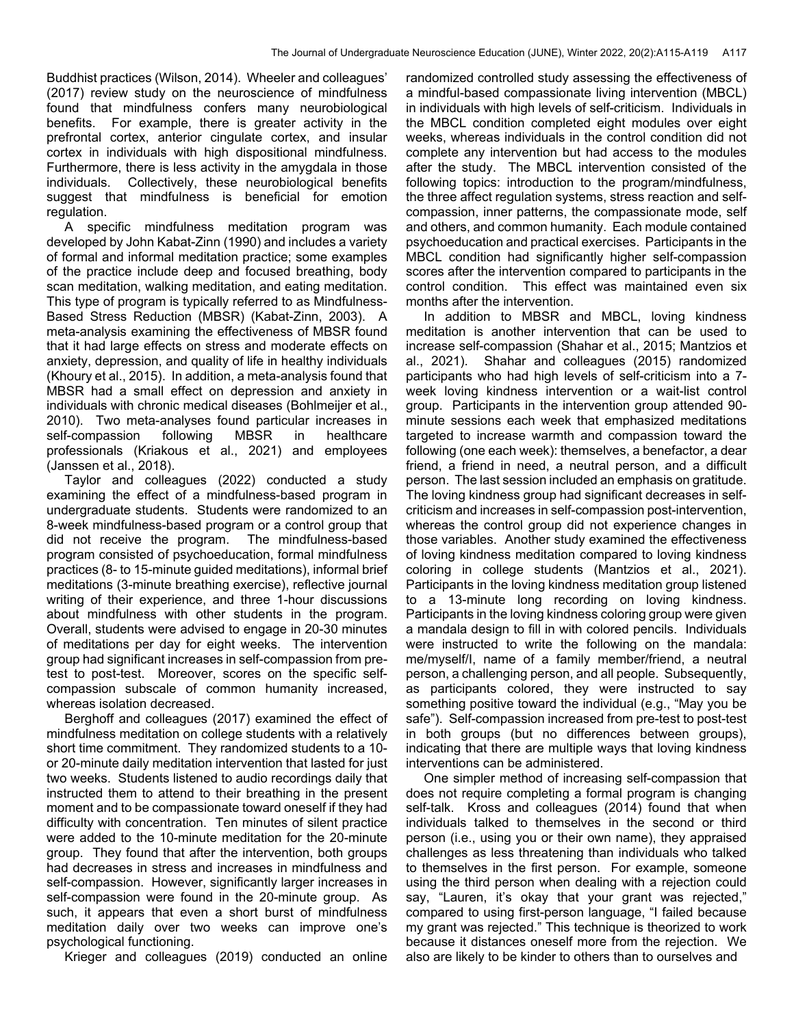Buddhist practices (Wilson, 2014). Wheeler and colleagues' (2017) review study on the neuroscience of mindfulness found that mindfulness confers many neurobiological benefits. For example, there is greater activity in the prefrontal cortex, anterior cingulate cortex, and insular cortex in individuals with high dispositional mindfulness. Furthermore, there is less activity in the amygdala in those individuals. Collectively, these neurobiological benefits suggest that mindfulness is beneficial for emotion regulation.

 A specific mindfulness meditation program was developed by John Kabat-Zinn (1990) and includes a variety of formal and informal meditation practice; some examples of the practice include deep and focused breathing, body scan meditation, walking meditation, and eating meditation. This type of program is typically referred to as Mindfulness-Based Stress Reduction (MBSR) (Kabat-Zinn, 2003). A meta-analysis examining the effectiveness of MBSR found that it had large effects on stress and moderate effects on anxiety, depression, and quality of life in healthy individuals (Khoury et al., 2015). In addition, a meta-analysis found that MBSR had a small effect on depression and anxiety in individuals with chronic medical diseases (Bohlmeijer et al., 2010). Two meta-analyses found particular increases in self-compassion following MBSR in healthcare professionals (Kriakous et al., 2021) and employees (Janssen et al., 2018).

 Taylor and colleagues (2022) conducted a study examining the effect of a mindfulness-based program in undergraduate students. Students were randomized to an 8-week mindfulness-based program or a control group that did not receive the program. The mindfulness-based program consisted of psychoeducation, formal mindfulness practices (8- to 15-minute guided meditations), informal brief meditations (3-minute breathing exercise), reflective journal writing of their experience, and three 1-hour discussions about mindfulness with other students in the program. Overall, students were advised to engage in 20-30 minutes of meditations per day for eight weeks. The intervention group had significant increases in self-compassion from pretest to post-test. Moreover, scores on the specific selfcompassion subscale of common humanity increased, whereas isolation decreased.

 Berghoff and colleagues (2017) examined the effect of mindfulness meditation on college students with a relatively short time commitment. They randomized students to a 10 or 20-minute daily meditation intervention that lasted for just two weeks. Students listened to audio recordings daily that instructed them to attend to their breathing in the present moment and to be compassionate toward oneself if they had difficulty with concentration. Ten minutes of silent practice were added to the 10-minute meditation for the 20-minute group. They found that after the intervention, both groups had decreases in stress and increases in mindfulness and self-compassion. However, significantly larger increases in self-compassion were found in the 20-minute group. As such, it appears that even a short burst of mindfulness meditation daily over two weeks can improve one's psychological functioning.

Krieger and colleagues (2019) conducted an online

randomized controlled study assessing the effectiveness of a mindful-based compassionate living intervention (MBCL) in individuals with high levels of self-criticism. Individuals in the MBCL condition completed eight modules over eight weeks, whereas individuals in the control condition did not complete any intervention but had access to the modules after the study. The MBCL intervention consisted of the following topics: introduction to the program/mindfulness, the three affect regulation systems, stress reaction and selfcompassion, inner patterns, the compassionate mode, self and others, and common humanity. Each module contained psychoeducation and practical exercises. Participants in the MBCL condition had significantly higher self-compassion scores after the intervention compared to participants in the control condition. This effect was maintained even six months after the intervention.

 In addition to MBSR and MBCL, loving kindness meditation is another intervention that can be used to increase self-compassion (Shahar et al., 2015; Mantzios et al., 2021). Shahar and colleagues (2015) randomized participants who had high levels of self-criticism into a 7 week loving kindness intervention or a wait-list control group. Participants in the intervention group attended 90 minute sessions each week that emphasized meditations targeted to increase warmth and compassion toward the following (one each week): themselves, a benefactor, a dear friend, a friend in need, a neutral person, and a difficult person. The last session included an emphasis on gratitude. The loving kindness group had significant decreases in selfcriticism and increases in self-compassion post-intervention, whereas the control group did not experience changes in those variables. Another study examined the effectiveness of loving kindness meditation compared to loving kindness coloring in college students (Mantzios et al., 2021). Participants in the loving kindness meditation group listened to a 13-minute long recording on loving kindness. Participants in the loving kindness coloring group were given a mandala design to fill in with colored pencils. Individuals were instructed to write the following on the mandala: me/myself/I, name of a family member/friend, a neutral person, a challenging person, and all people. Subsequently, as participants colored, they were instructed to say something positive toward the individual (e.g., "May you be safe"). Self-compassion increased from pre-test to post-test in both groups (but no differences between groups), indicating that there are multiple ways that loving kindness interventions can be administered.

 One simpler method of increasing self-compassion that does not require completing a formal program is changing self-talk. Kross and colleagues (2014) found that when individuals talked to themselves in the second or third person (i.e., using you or their own name), they appraised challenges as less threatening than individuals who talked to themselves in the first person. For example, someone using the third person when dealing with a rejection could say, "Lauren, it's okay that your grant was rejected," compared to using first-person language, "I failed because my grant was rejected." This technique is theorized to work because it distances oneself more from the rejection. We also are likely to be kinder to others than to ourselves and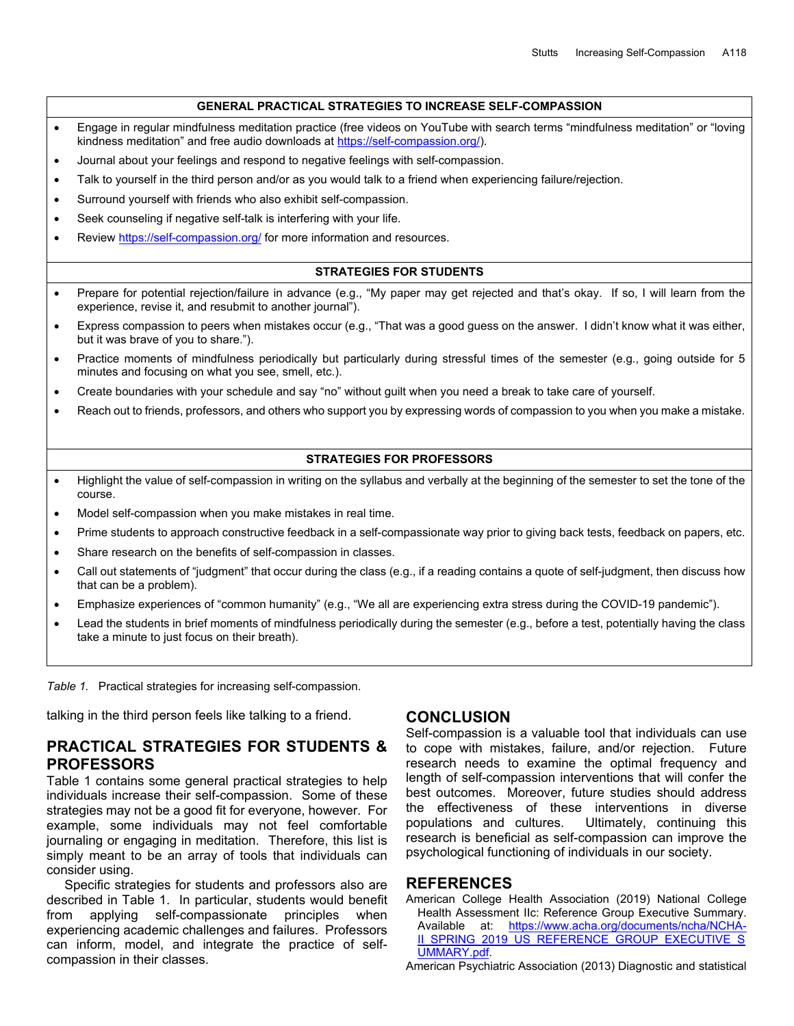#### **GENERAL PRACTICAL STRATEGIES TO INCREASE SELF-COMPASSION**

- Engage in regular mindfulness meditation practice (free videos on YouTube with search terms "mindfulness meditation" or "loving kindness meditation" and free audio downloads at https://self-compassion.org/).
- Journal about your feelings and respond to negative feelings with self-compassion.
- Talk to yourself in the third person and/or as you would talk to a friend when experiencing failure/rejection.
- Surround yourself with friends who also exhibit self-compassion.
- Seek counseling if negative self-talk is interfering with your life.
- Review https://self-compassion.org/ for more information and resources.

#### **STRATEGIES FOR STUDENTS**

- Prepare for potential rejection/failure in advance (e.g., "My paper may get rejected and that's okay. If so, I will learn from the experience, revise it, and resubmit to another journal").
- Express compassion to peers when mistakes occur (e.g., "That was a good guess on the answer. I didn't know what it was either, but it was brave of you to share.").
- Practice moments of mindfulness periodically but particularly during stressful times of the semester (e.g., going outside for 5 minutes and focusing on what you see, smell, etc.).
- Create boundaries with your schedule and say "no" without guilt when you need a break to take care of yourself.
- Reach out to friends, professors, and others who support you by expressing words of compassion to you when you make a mistake.

#### **STRATEGIES FOR PROFESSORS**

- Highlight the value of self-compassion in writing on the syllabus and verbally at the beginning of the semester to set the tone of the course.
- Model self-compassion when you make mistakes in real time.
- Prime students to approach constructive feedback in a self-compassionate way prior to giving back tests, feedback on papers, etc.
- Share research on the benefits of self-compassion in classes.
- Call out statements of "judgment" that occur during the class (e.g., if a reading contains a quote of self-judgment, then discuss how that can be a problem).
- Emphasize experiences of "common humanity" (e.g., "We all are experiencing extra stress during the COVID-19 pandemic").
- Lead the students in brief moments of mindfulness periodically during the semester (e.g., before a test, potentially having the class take a minute to just focus on their breath).

*Table 1.* Practical strategies for increasing self-compassion.

talking in the third person feels like talking to a friend.

## **PRACTICAL STRATEGIES FOR STUDENTS & PROFESSORS**

Table 1 contains some general practical strategies to help individuals increase their self-compassion. Some of these strategies may not be a good fit for everyone, however. For example, some individuals may not feel comfortable journaling or engaging in meditation. Therefore, this list is simply meant to be an array of tools that individuals can consider using.

 Specific strategies for students and professors also are described in Table 1. In particular, students would benefit from applying self-compassionate principles when experiencing academic challenges and failures. Professors can inform, model, and integrate the practice of selfcompassion in their classes.

## **CONCLUSION**

Self-compassion is a valuable tool that individuals can use to cope with mistakes, failure, and/or rejection. Future research needs to examine the optimal frequency and length of self-compassion interventions that will confer the best outcomes. Moreover, future studies should address the effectiveness of these interventions in diverse populations and cultures. Ultimately, continuing this research is beneficial as self-compassion can improve the psychological functioning of individuals in our society.

## **REFERENCES**

American College Health Association (2019) National College Health Assessment IIc: Reference Group Executive Summary. Available at: https://www.acha.org/documents/ncha/NCHA-II\_SPRING\_2019\_US\_REFERENCE\_GROUP\_EXECUTIVE\_S UMMARY.pdf.

American Psychiatric Association (2013) Diagnostic and statistical